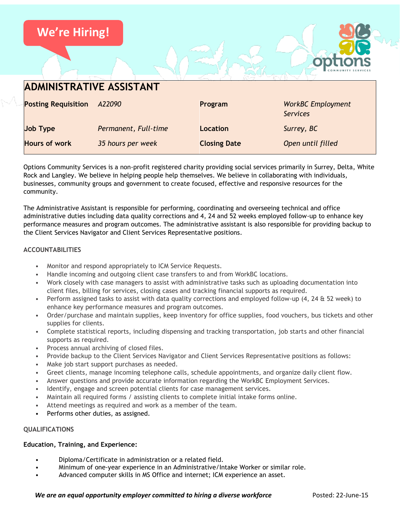

Options Community Services is a non-profit registered charity providing social services primarily in Surrey, Delta, White Rock and Langley. We believe in helping people help themselves. We believe in collaborating with individuals, businesses, community groups and government to create focused, effective and responsive resources for the community.

The Administrative Assistant is responsible for performing, coordinating and overseeing technical and office administrative duties including data quality corrections and 4, 24 and 52 weeks employed follow-up to enhance key performance measures and program outcomes. The administrative assistant is also responsible for providing backup to the Client Services Navigator and Client Services Representative positions.

## **ACCOUNTABILITIES**

- Monitor and respond appropriately to ICM Service Requests.
- Handle incoming and outgoing client case transfers to and from WorkBC locations.
- Work closely with case managers to assist with administrative tasks such as uploading documentation into client files, billing for services, closing cases and tracking financial supports as required.
- Perform assigned tasks to assist with data quality corrections and employed follow-up (4, 24 & 52 week) to enhance key performance measures and program outcomes.
- Order/purchase and maintain supplies, keep inventory for office supplies, food vouchers, bus tickets and other supplies for clients.
- Complete statistical reports, including dispensing and tracking transportation, job starts and other financial supports as required.
- Process annual archiving of closed files.
- Provide backup to the Client Services Navigator and Client Services Representative positions as follows:
- Make job start support purchases as needed.
- Greet clients, manage incoming telephone calls, schedule appointments, and organize daily client flow.
- Answer questions and provide accurate information regarding the WorkBC Employment Services.
- Identify, engage and screen potential clients for case management services.
- Maintain all required forms / assisting clients to complete initial intake forms online.
- Attend meetings as required and work as a member of the team.
- Performs other duties, as assigned.

### **QUALIFICATIONS**

### **Education, Training, and Experience:**

- Diploma/Certificate in administration or a related field.
- Minimum of one-year experience in an Administrative/Intake Worker or similar role.
- Advanced computer skills in MS Office and internet; ICM experience an asset.